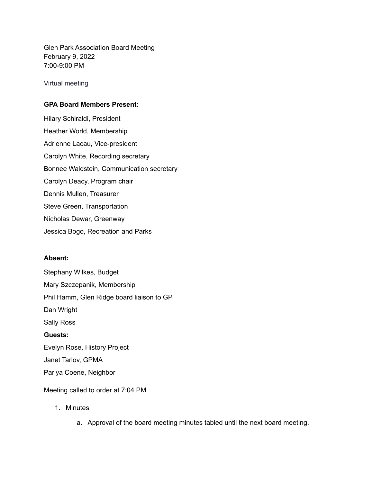Glen Park Association Board Meeting February 9, 2022 7:00-9:00 PM

Virtual meeting

## **GPA Board Members Present:**

Hilary Schiraldi, President Heather World, Membership Adrienne Lacau, Vice-president Carolyn White, Recording secretary Bonnee Waldstein, Communication secretary Carolyn Deacy, Program chair Dennis Mullen, Treasurer Steve Green, Transportation Nicholas Dewar, Greenway Jessica Bogo, Recreation and Parks

## **Absent:**

Stephany Wilkes, Budget Mary Szczepanik, Membership Phil Hamm, Glen Ridge board liaison to GP Dan Wright Sally Ross **Guests:** Evelyn Rose, History Project Janet Tarlov, GPMA Pariya Coene, Neighbor

Meeting called to order at 7:04 PM

- 1. Minutes
	- a. Approval of the board meeting minutes tabled until the next board meeting.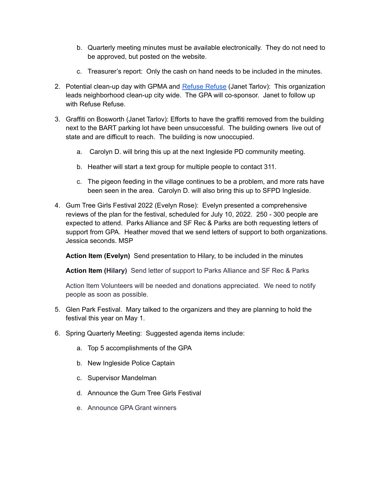- b. Quarterly meeting minutes must be available electronically. They do not need to be approved, but posted on the website.
- c. Treasurer's report: Only the cash on hand needs to be included in the minutes.
- 2. Potential clean-up day with GPMA and [Refuse](https://refuserefusesf.org/) Refuse (Janet Tarlov): This organization leads neighborhood clean-up city wide. The GPA will co-sponsor. Janet to follow up with Refuse Refuse.
- 3. Graffiti on Bosworth (Janet Tarlov): Efforts to have the graffiti removed from the building next to the BART parking lot have been unsuccessful. The building owners live out of state and are difficult to reach. The building is now unoccupied.
	- a. Carolyn D. will bring this up at the next Ingleside PD community meeting.
	- b. Heather will start a text group for multiple people to contact 311.
	- c. The pigeon feeding in the village continues to be a problem, and more rats have been seen in the area. Carolyn D. will also bring this up to SFPD Ingleside.
- 4. Gum Tree Girls Festival 2022 (Evelyn Rose): Evelyn presented a comprehensive reviews of the plan for the festival, scheduled for July 10, 2022. 250 - 300 people are expected to attend. Parks Alliance and SF Rec & Parks are both requesting letters of support from GPA. Heather moved that we send letters of support to both organizations. Jessica seconds. MSP

**Action Item (Evelyn)** Send presentation to Hilary, to be included in the minutes

**Action Item (Hilary)** Send letter of support to Parks Alliance and SF Rec & Parks

Action Item Volunteers will be needed and donations appreciated. We need to notify people as soon as possible.

- 5. Glen Park Festival. Mary talked to the organizers and they are planning to hold the festival this year on May 1.
- 6. Spring Quarterly Meeting: Suggested agenda items include:
	- a. Top 5 accomplishments of the GPA
	- b. New Ingleside Police Captain
	- c. Supervisor Mandelman
	- d. Announce the Gum Tree Girls Festival
	- e. Announce GPA Grant winners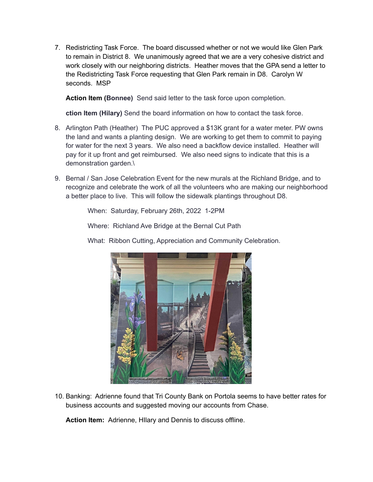7. Redistricting Task Force. The board discussed whether or not we would like Glen Park to remain in District 8. We unanimously agreed that we are a very cohesive district and work closely with our neighboring districts. Heather moves that the GPA send a letter to the Redistricting Task Force requesting that Glen Park remain in D8. Carolyn W seconds. MSP

**Action Item (Bonnee)** Send said letter to the task force upon completion.

**ction Item (Hilary)** Send the board information on how to contact the task force.

- 8. Arlington Path (Heather) The PUC approved a \$13K grant for a water meter. PW owns the land and wants a planting design. We are working to get them to commit to paying for water for the next 3 years. We also need a backflow device installed. Heather will pay for it up front and get reimbursed. We also need signs to indicate that this is a demonstration garden.\
- 9. Bernal / San Jose Celebration Event for the new murals at the Richland Bridge, and to recognize and celebrate the work of all the volunteers who are making our neighborhood a better place to live. This will follow the sidewalk plantings throughout D8.

When: Saturday, February 26th, 2022 1-2PM

Where: Richland Ave Bridge at the Bernal Cut Path





10. Banking: Adrienne found that Tri County Bank on Portola seems to have better rates for business accounts and suggested moving our accounts from Chase.

**Action Item:** Adrienne, HIlary and Dennis to discuss offline.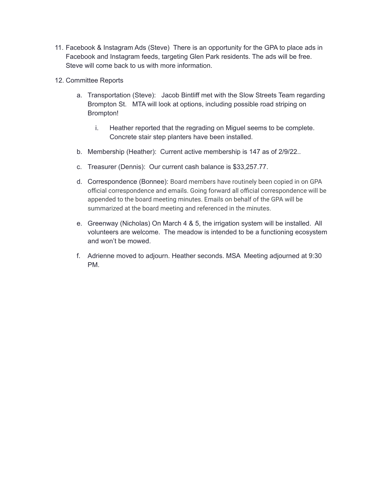- 11. Facebook & Instagram Ads (Steve) There is an opportunity for the GPA to place ads in Facebook and Instagram feeds, targeting Glen Park residents. The ads will be free. Steve will come back to us with more information.
- 12. Committee Reports
	- a. Transportation (Steve): Jacob Bintliff met with the Slow Streets Team regarding Brompton St. MTA will look at options, including possible road striping on Brompton!
		- i. Heather reported that the regrading on Miguel seems to be complete. Concrete stair step planters have been installed.
	- b. Membership (Heather): Current active membership is 147 as of 2/9/22..
	- c. Treasurer (Dennis): Our current cash balance is \$33,257.77.
	- d. Correspondence (Bonnee): Board members have routinely been copied in on GPA official correspondence and emails. Going forward all official correspondence will be appended to the board meeting minutes. Emails on behalf of the GPA will be summarized at the board meeting and referenced in the minutes.
	- e. Greenway (Nicholas) On March 4 & 5, the irrigation system will be installed. All volunteers are welcome. The meadow is intended to be a functioning ecosystem and won't be mowed.
	- f. Adrienne moved to adjourn. Heather seconds. MSA Meeting adjourned at 9:30 PM.